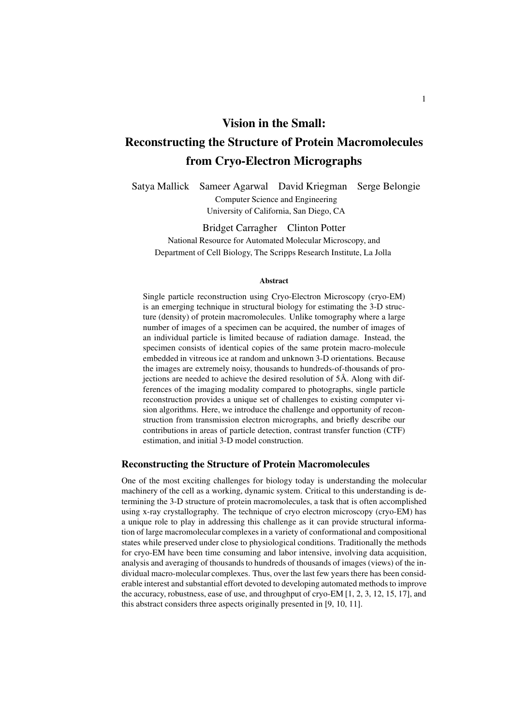### **Vision in the Small:**

# **Reconstructing the Structure of Protein Macromolecules from Cryo-Electron Micrographs**

Satya Mallick Sameer Agarwal David Kriegman Serge Belongie Computer Science and Engineering University of California, San Diego, CA

Bridget Carragher Clinton Potter National Resource for Automated Molecular Microscopy, and Department of Cell Biology, The Scripps Research Institute, La Jolla

#### **Abstract**

Single particle reconstruction using Cryo-Electron Microscopy (cryo-EM) is an emerging technique in structural biology for estimating the 3-D structure (density) of protein macromolecules. Unlike tomography where a large number of images of a specimen can be acquired, the number of images of an individual particle is limited because of radiation damage. Instead, the specimen consists of identical copies of the same protein macro-molecule embedded in vitreous ice at random and unknown 3-D orientations. Because the images are extremely noisy, thousands to hundreds-of-thousands of projections are needed to achieve the desired resolution of 5Å. Along with differences of the imaging modality compared to photographs, single particle reconstruction provides a unique set of challenges to existing computer vision algorithms. Here, we introduce the challenge and opportunity of reconstruction from transmission electron micrographs, and briefly describe our contributions in areas of particle detection, contrast transfer function (CTF) estimation, and initial 3-D model construction.

#### **Reconstructing the Structure of Protein Macromolecules**

One of the most exciting challenges for biology today is understanding the molecular machinery of the cell as a working, dynamic system. Critical to this understanding is determining the 3-D structure of protein macromolecules, a task that is often accomplished using x-ray crystallography. The technique of cryo electron microscopy (cryo-EM) has a unique role to play in addressing this challenge as it can provide structural information of large macromolecular complexes in a variety of conformational and compositional states while preserved under close to physiological conditions. Traditionally the methods for cryo-EM have been time consuming and labor intensive, involving data acquisition, analysis and averaging of thousands to hundreds of thousands of images (views) of the individual macro-molecular complexes. Thus, over the last few years there has been considerable interest and substantial effort devoted to developing automated methods to improve the accuracy, robustness, ease of use, and throughput of cryo-EM [1, 2, 3, 12, 15, 17], and this abstract considers three aspects originally presented in [9, 10, 11].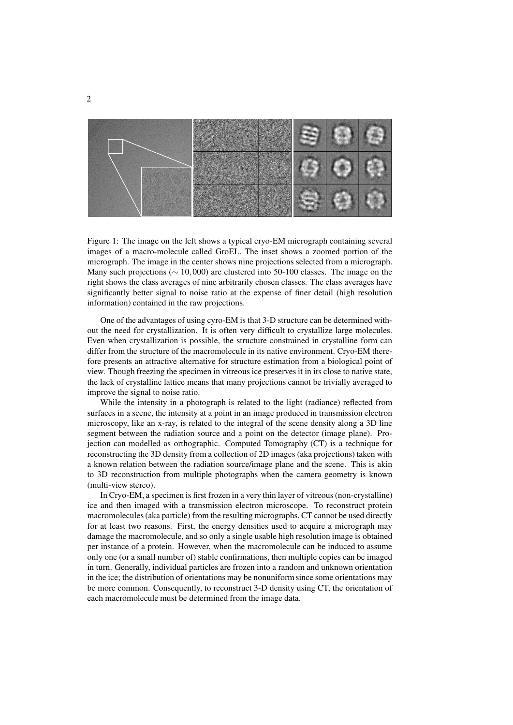

Figure 1: The image on the left shows a typical cryo-EM micrograph containing several images of a macro-molecule called GroEL. The inset shows a zoomed portion of the micrograph. The image in the center shows nine projections selected from a micrograph. Many such projections (∼ 10,000) are clustered into 50-100 classes. The image on the right shows the class averages of nine arbitrarily chosen classes. The class averages have significantly better signal to noise ratio at the expense of finer detail (high resolution information) contained in the raw projections.

One of the advantages of using cyro-EM is that 3-D structure can be determined without the need for crystallization. It is often very difficult to crystallize large molecules. Even when crystallization is possible, the structure constrained in crystalline form can differ from the structure of the macromolecule in its native environment. Cryo-EM therefore presents an attractive alternative for structure estimation from a biological point of view. Though freezing the specimen in vitreous ice preserves it in its close to native state, the lack of crystalline lattice means that many projections cannot be trivially averaged to improve the signal to noise ratio.

While the intensity in a photograph is related to the light (radiance) reflected from surfaces in a scene, the intensity at a point in an image produced in transmission electron microscopy, like an x-ray, is related to the integral of the scene density along a 3D line segment between the radiation source and a point on the detector (image plane). Projection can modelled as orthographic. Computed Tomography (CT) is a technique for reconstructing the 3D density from a collection of 2D images (aka projections) taken with a known relation between the radiation source/image plane and the scene. This is akin to 3D reconstruction from multiple photographs when the camera geometry is known (multi-view stereo).

In Cryo-EM, a specimen is first frozen in a very thin layer of vitreous(non-crystalline) ice and then imaged with a transmission electron microscope. To reconstruct protein macromolecules(aka particle) from the resulting micrographs, CT cannot be used directly for at least two reasons. First, the energy densities used to acquire a micrograph may damage the macromolecule, and so only a single usable high resolution image is obtained per instance of a protein. However, when the macromolecule can be induced to assume only one (or a small number of) stable confirmations, then multiple copies can be imaged in turn. Generally, individual particles are frozen into a random and unknown orientation in the ice; the distribution of orientations may be nonuniform since some orientations may be more common. Consequently, to reconstruct 3-D density using CT, the orientation of each macromolecule must be determined from the image data.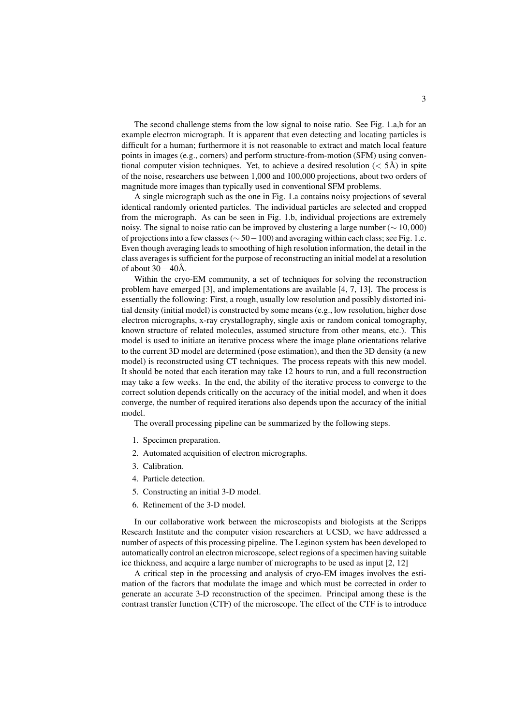The second challenge stems from the low signal to noise ratio. See Fig. 1.a,b for an example electron micrograph. It is apparent that even detecting and locating particles is difficult for a human; furthermore it is not reasonable to extract and match local feature points in images (e.g., corners) and perform structure-from-motion (SFM) using conventional computer vision techniques. Yet, to achieve a desired resolution ( $\langle$  5Å) in spite of the noise, researchers use between 1,000 and 100,000 projections, about two orders of magnitude more images than typically used in conventional SFM problems.

A single micrograph such as the one in Fig. 1.a contains noisy projections of several identical randomly oriented particles. The individual particles are selected and cropped from the micrograph. As can be seen in Fig. 1.b, individual projections are extremely noisy. The signal to noise ratio can be improved by clustering a large number ( $\sim 10,000$ ) of projections into a few classes ( $\sim$  50 − 100) and averaging within each class; see Fig. 1.c. Even though averaging leads to smoothing of high resolution information, the detail in the class averages is sufficient for the purpose of reconstructing an initial model at a resolution of about  $30-40\text{\AA}$ .

Within the cryo-EM community, a set of techniques for solving the reconstruction problem have emerged [3], and implementations are available [4, 7, 13]. The process is essentially the following: First, a rough, usually low resolution and possibly distorted initial density (initial model) is constructed by some means (e.g., low resolution, higher dose electron micrographs, x-ray crystallography, single axis or random conical tomography, known structure of related molecules, assumed structure from other means, etc.). This model is used to initiate an iterative process where the image plane orientations relative to the current 3D model are determined (pose estimation), and then the 3D density (a new model) is reconstructed using CT techniques. The process repeats with this new model. It should be noted that each iteration may take 12 hours to run, and a full reconstruction may take a few weeks. In the end, the ability of the iterative process to converge to the correct solution depends critically on the accuracy of the initial model, and when it does converge, the number of required iterations also depends upon the accuracy of the initial model.

The overall processing pipeline can be summarized by the following steps.

- 1. Specimen preparation.
- 2. Automated acquisition of electron micrographs.
- 3. Calibration.
- 4. Particle detection.
- 5. Constructing an initial 3-D model.
- 6. Refinement of the 3-D model.

In our collaborative work between the microscopists and biologists at the Scripps Research Institute and the computer vision researchers at UCSD, we have addressed a number of aspects of this processing pipeline. The Leginon system has been developed to automatically control an electron microscope,select regions of a specimen having suitable ice thickness, and acquire a large number of micrographs to be used as input [2, 12]

A critical step in the processing and analysis of cryo-EM images involves the estimation of the factors that modulate the image and which must be corrected in order to generate an accurate 3-D reconstruction of the specimen. Principal among these is the contrast transfer function (CTF) of the microscope. The effect of the CTF is to introduce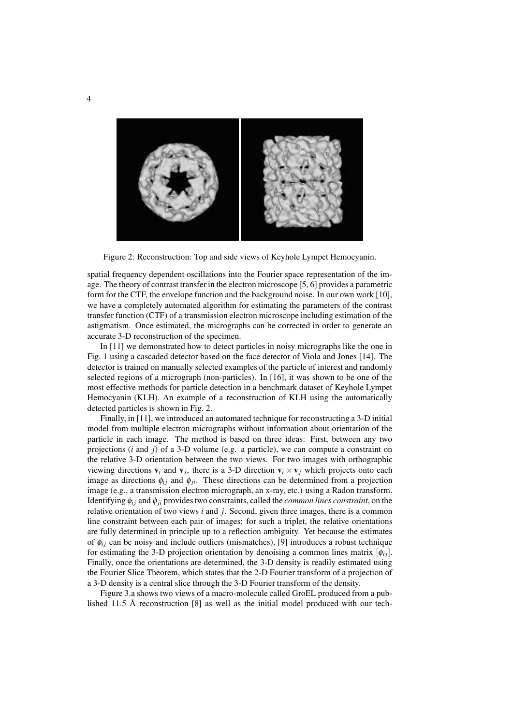

Figure 2: Reconstruction: Top and side views of Keyhole Lympet Hemocyanin.

spatial frequency dependent oscillations into the Fourier space representation of the image. The theory of contrast transfer in the electron microscope [5, 6] provides a parametric form for the CTF, the envelope function and the background noise. In our own work [10], we have a completely automated algorithm for estimating the parameters of the contrast transfer function (CTF) of a transmission electron microscope including estimation of the astigmatism. Once estimated, the micrographs can be corrected in order to generate an accurate 3-D reconstruction of the specimen.

In [11] we demonstrated how to detect particles in noisy micrographs like the one in Fig. 1 using a cascaded detector based on the face detector of Viola and Jones [14]. The detector is trained on manually selected examples of the particle of interest and randomly selected regions of a micrograph (non-particles). In [16], it was shown to be one of the most effective methods for particle detection in a benchmark dataset of Keyhole Lympet Hemocyanin (KLH). An example of a reconstruction of KLH using the automatically detected particles is shown in Fig. 2.

Finally, in [11], we introduced an automated technique for reconstructing a 3-D initial model from multiple electron micrographs without information about orientation of the particle in each image. The method is based on three ideas: First, between any two projections (*i* and *j*) of a 3-D volume (e.g. a particle), we can compute a constraint on the relative 3-D orientation between the two views. For two images with orthographic viewing directions  $\mathbf{v}_i$  and  $\mathbf{v}_j$ , there is a 3-D direction  $\mathbf{v}_i \times \mathbf{v}_j$  which projects onto each image as directions  $\phi_{ij}$  and  $\phi_{ji}$ . These directions can be determined from a projection image (e.g., a transmission electron micrograph, an x-ray, etc.) using a Radon transform. Identifying  $\phi_i$  *j* and  $\phi_j$  provides two constraints, called the *common lines constraint*, on the relative orientation of two views *i* and *j*. Second, given three images, there is a common line constraint between each pair of images; for such a triplet, the relative orientations are fully determined in principle up to a reflection ambiguity. Yet because the estimates of  $\phi_{ij}$  can be noisy and include outliers (mismatches), [9] introduces a robust technique for estimating the 3-D projection orientation by denoising a common lines matrix  $[\phi_{ij}]$ . Finally, once the orientations are determined, the 3-D density is readily estimated using the Fourier Slice Theorem, which states that the 2-D Fourier transform of a projection of a 3-D density is a central slice through the 3-D Fourier transform of the density.

Figure 3.a shows two views of a macro-molecule called GroEL produced from a published 11.5  $\AA$  reconstruction [8] as well as the initial model produced with our tech-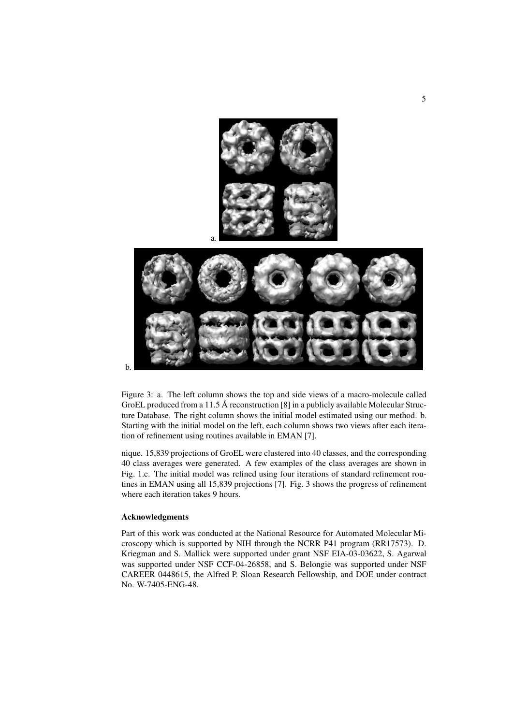

Figure 3: a. The left column shows the top and side views of a macro-molecule called GroEL produced from a 11.5 Å reconstruction [8] in a publicly available Molecular Structure Database. The right column shows the initial model estimated using our method. b. Starting with the initial model on the left, each column shows two views after each iteration of refinement using routines available in EMAN [7].

nique. 15,839 projections of GroEL were clustered into 40 classes, and the corresponding 40 class averages were generated. A few examples of the class averages are shown in Fig. 1.c. The initial model was refined using four iterations of standard refinement routines in EMAN using all 15,839 projections [7]. Fig. 3 shows the progress of refinement where each iteration takes 9 hours.

#### **Acknowledgments**

Part of this work was conducted at the National Resource for Automated Molecular Microscopy which is supported by NIH through the NCRR P41 program (RR17573). D. Kriegman and S. Mallick were supported under grant NSF EIA-03-03622, S. Agarwal was supported under NSF CCF-04-26858, and S. Belongie was supported under NSF CAREER 0448615, the Alfred P. Sloan Research Fellowship, and DOE under contract No. W-7405-ENG-48.